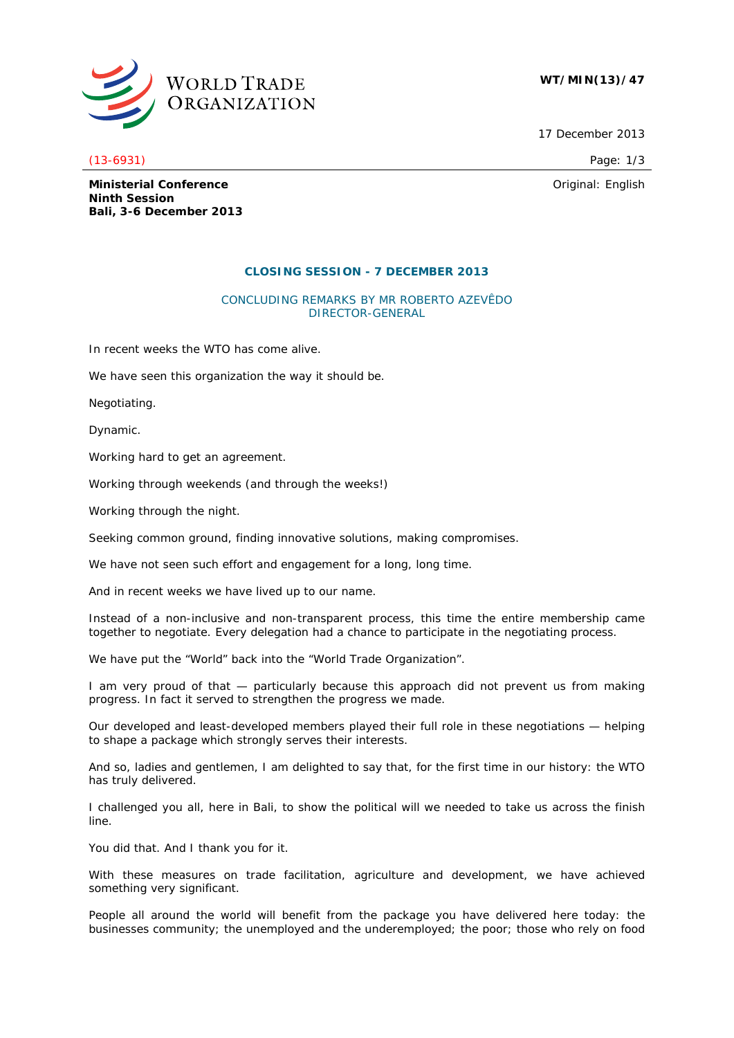

## **WT/MIN(13)/47**

17 December 2013

(13-6931) Page: 1/3

Original: English

**Ministerial Conference Ninth Session Bali, 3-6 December 2013**

## **CLOSING SESSION - 7 DECEMBER 2013**

## CONCLUDING REMARKS BY MR ROBERTO AZEVÊDO DIRECTOR-GENERAL

In recent weeks the WTO has come alive.

We have seen this organization the way it should be.

Negotiating.

Dynamic.

Working hard to get an agreement.

Working through weekends (and through the weeks!)

Working through the night.

Seeking common ground, finding innovative solutions, making compromises.

We have not seen such effort and engagement for a long, long time.

And in recent weeks we have lived up to our name.

Instead of a non-inclusive and non-transparent process, this time the entire membership came together to negotiate. Every delegation had a chance to participate in the negotiating process.

We have put the "World" back into the "World Trade Organization".

I am very proud of that — particularly because this approach did not prevent us from making progress. In fact it served to strengthen the progress we made.

Our developed and least-developed members played their full role in these negotiations — helping to shape a package which strongly serves their interests.

And so, ladies and gentlemen, I am delighted to say that, for the first time in our history: the WTO has truly delivered.

I challenged you all, here in Bali, to show the political will we needed to take us across the finish line.

You did that. And I thank you for it.

With these measures on trade facilitation, agriculture and development, we have achieved something very significant.

People all around the world will benefit from the package you have delivered here today: the businesses community; the unemployed and the underemployed; the poor; those who rely on food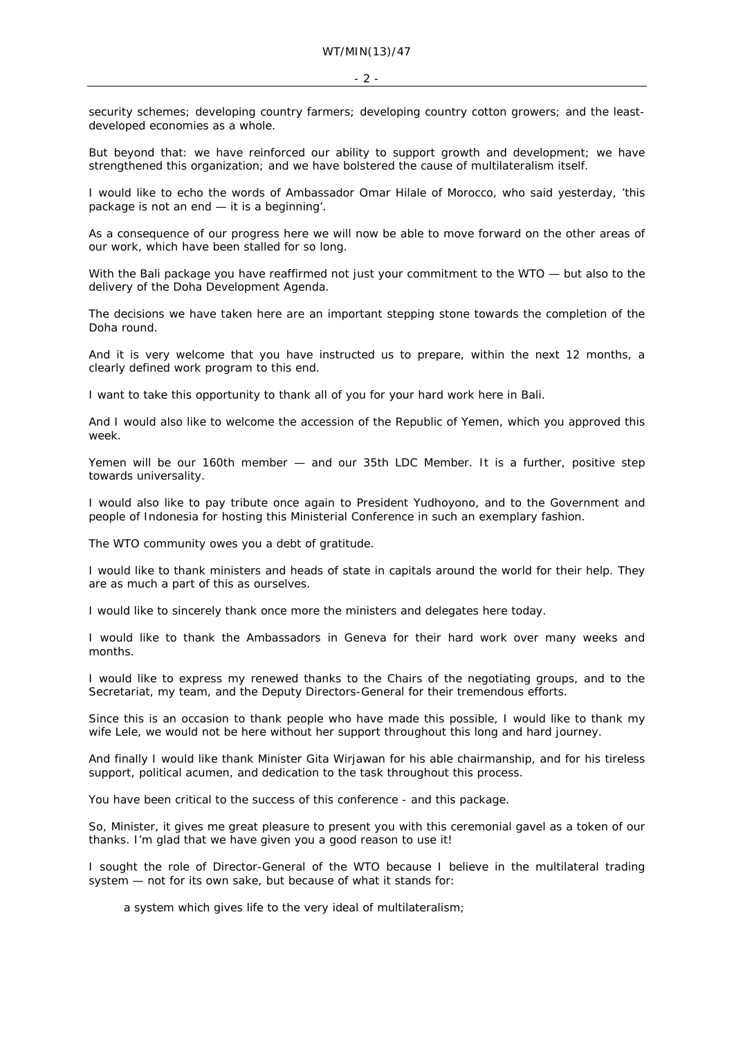security schemes; developing country farmers; developing country cotton growers; and the leastdeveloped economies as a whole.

But beyond that: we have reinforced our ability to support growth and development; we have strengthened this organization; and we have bolstered the cause of multilateralism itself.

I would like to echo the words of Ambassador Omar Hilale of Morocco, who said yesterday, 'this package is not an end — it is a beginning'.

As a consequence of our progress here we will now be able to move forward on the other areas of our work, which have been stalled for so long.

With the Bali package you have reaffirmed not just your commitment to the WTO — but also to the delivery of the Doha Development Agenda.

The decisions we have taken here are an important stepping stone towards the completion of the Doha round.

And it is very welcome that you have instructed us to prepare, within the next 12 months, a clearly defined work program to this end.

I want to take this opportunity to thank all of you for your hard work here in Bali.

And I would also like to welcome the accession of the Republic of Yemen, which you approved this week.

Yemen will be our 160th member — and our 35th LDC Member. It is a further, positive step towards universality.

I would also like to pay tribute once again to President Yudhoyono, and to the Government and people of Indonesia for hosting this Ministerial Conference in such an exemplary fashion.

The WTO community owes you a debt of gratitude.

I would like to thank ministers and heads of state in capitals around the world for their help. They are as much a part of this as ourselves.

I would like to sincerely thank once more the ministers and delegates here today.

I would like to thank the Ambassadors in Geneva for their hard work over many weeks and months.

I would like to express my renewed thanks to the Chairs of the negotiating groups, and to the Secretariat, my team, and the Deputy Directors-General for their tremendous efforts.

Since this is an occasion to thank people who have made this possible, I would like to thank my wife Lele, we would not be here without her support throughout this long and hard journey.

And finally I would like thank Minister Gita Wirjawan for his able chairmanship, and for his tireless support, political acumen, and dedication to the task throughout this process.

You have been critical to the success of this conference - and this package.

So, Minister, it gives me great pleasure to present you with this ceremonial gavel as a token of our thanks. I'm glad that we have given you a good reason to use it!

I sought the role of Director-General of the WTO because I believe in the multilateral trading system — not for its own sake, but because of what it stands for:

a system which gives life to the very ideal of multilateralism;